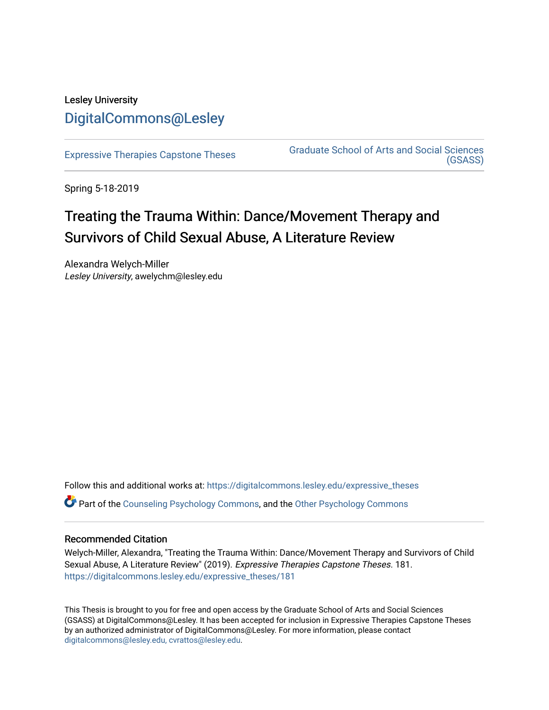# Lesley University [DigitalCommons@Lesley](https://digitalcommons.lesley.edu/)

[Expressive Therapies Capstone Theses](https://digitalcommons.lesley.edu/expressive_theses) Graduate School of Arts and Social Sciences [\(GSASS\)](https://digitalcommons.lesley.edu/gsass) 

Spring 5-18-2019

# Treating the Trauma Within: Dance/Movement Therapy and Survivors of Child Sexual Abuse, A Literature Review

Alexandra Welych-Miller Lesley University, awelychm@lesley.edu

Follow this and additional works at: [https://digitalcommons.lesley.edu/expressive\\_theses](https://digitalcommons.lesley.edu/expressive_theses?utm_source=digitalcommons.lesley.edu%2Fexpressive_theses%2F181&utm_medium=PDF&utm_campaign=PDFCoverPages) Part of the [Counseling Psychology Commons](http://network.bepress.com/hgg/discipline/1044?utm_source=digitalcommons.lesley.edu%2Fexpressive_theses%2F181&utm_medium=PDF&utm_campaign=PDFCoverPages), and the [Other Psychology Commons](http://network.bepress.com/hgg/discipline/415?utm_source=digitalcommons.lesley.edu%2Fexpressive_theses%2F181&utm_medium=PDF&utm_campaign=PDFCoverPages) 

## Recommended Citation

Welych-Miller, Alexandra, "Treating the Trauma Within: Dance/Movement Therapy and Survivors of Child Sexual Abuse, A Literature Review" (2019). Expressive Therapies Capstone Theses. 181. [https://digitalcommons.lesley.edu/expressive\\_theses/181](https://digitalcommons.lesley.edu/expressive_theses/181?utm_source=digitalcommons.lesley.edu%2Fexpressive_theses%2F181&utm_medium=PDF&utm_campaign=PDFCoverPages)

This Thesis is brought to you for free and open access by the Graduate School of Arts and Social Sciences (GSASS) at DigitalCommons@Lesley. It has been accepted for inclusion in Expressive Therapies Capstone Theses by an authorized administrator of DigitalCommons@Lesley. For more information, please contact [digitalcommons@lesley.edu, cvrattos@lesley.edu](mailto:digitalcommons@lesley.edu,%20cvrattos@lesley.edu).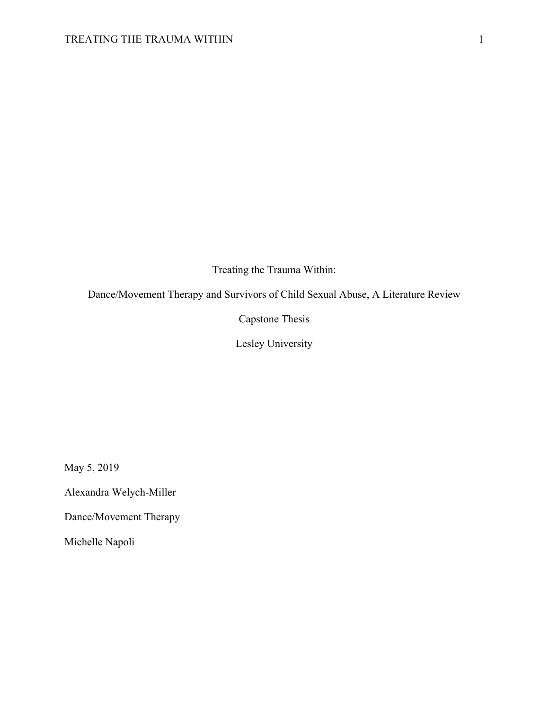Treating the Trauma Within:

Dance/Movement Therapy and Survivors of Child Sexual Abuse, A Literature Review

Capstone Thesis

Lesley University

May 5, 2019

Alexandra Welych-Miller

Dance/Movement Therapy

Michelle Napoli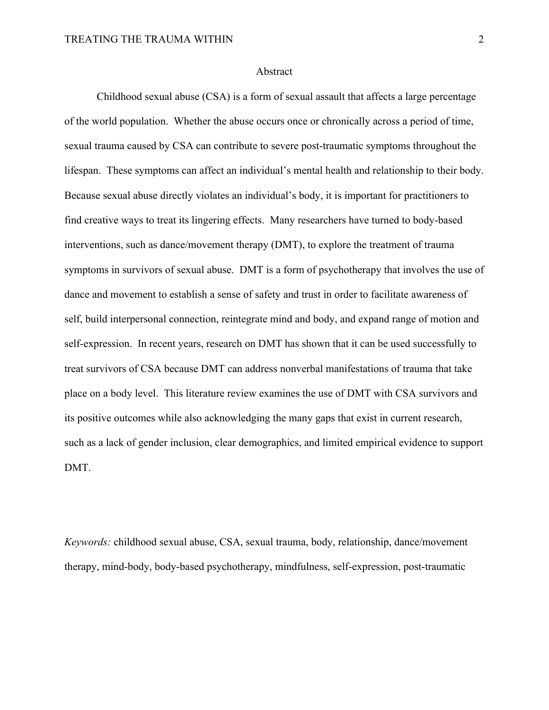#### Abstract

Childhood sexual abuse (CSA) is a form of sexual assault that affects a large percentage of the world population. Whether the abuse occurs once or chronically across a period of time, sexual trauma caused by CSA can contribute to severe post-traumatic symptoms throughout the lifespan. These symptoms can affect an individual's mental health and relationship to their body. Because sexual abuse directly violates an individual's body, it is important for practitioners to find creative ways to treat its lingering effects. Many researchers have turned to body-based interventions, such as dance/movement therapy (DMT), to explore the treatment of trauma symptoms in survivors of sexual abuse. DMT is a form of psychotherapy that involves the use of dance and movement to establish a sense of safety and trust in order to facilitate awareness of self, build interpersonal connection, reintegrate mind and body, and expand range of motion and self-expression. In recent years, research on DMT has shown that it can be used successfully to treat survivors of CSA because DMT can address nonverbal manifestations of trauma that take place on a body level. This literature review examines the use of DMT with CSA survivors and its positive outcomes while also acknowledging the many gaps that exist in current research, such as a lack of gender inclusion, clear demographics, and limited empirical evidence to support DMT.

*Keywords:* childhood sexual abuse, CSA, sexual trauma, body, relationship, dance/movement therapy, mind-body, body-based psychotherapy, mindfulness, self-expression, post-traumatic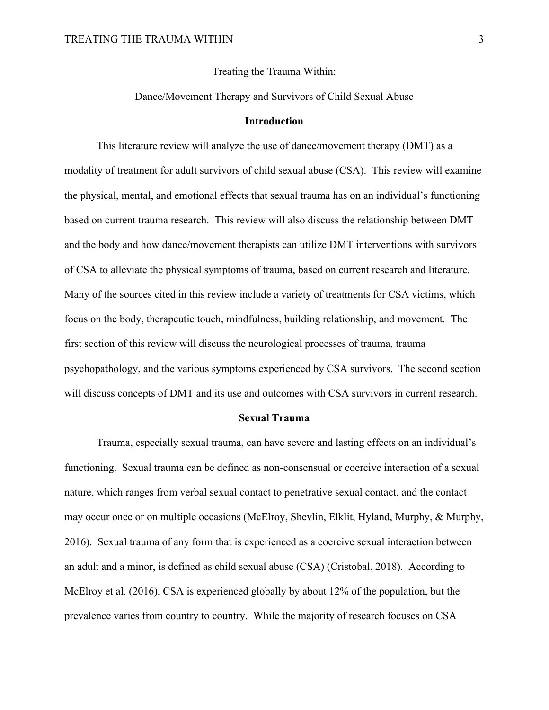Treating the Trauma Within:

#### Dance/Movement Therapy and Survivors of Child Sexual Abuse

#### **Introduction**

This literature review will analyze the use of dance/movement therapy (DMT) as a modality of treatment for adult survivors of child sexual abuse (CSA). This review will examine the physical, mental, and emotional effects that sexual trauma has on an individual's functioning based on current trauma research. This review will also discuss the relationship between DMT and the body and how dance/movement therapists can utilize DMT interventions with survivors of CSA to alleviate the physical symptoms of trauma, based on current research and literature. Many of the sources cited in this review include a variety of treatments for CSA victims, which focus on the body, therapeutic touch, mindfulness, building relationship, and movement. The first section of this review will discuss the neurological processes of trauma, trauma psychopathology, and the various symptoms experienced by CSA survivors. The second section will discuss concepts of DMT and its use and outcomes with CSA survivors in current research.

#### **Sexual Trauma**

Trauma, especially sexual trauma, can have severe and lasting effects on an individual's functioning. Sexual trauma can be defined as non-consensual or coercive interaction of a sexual nature, which ranges from verbal sexual contact to penetrative sexual contact, and the contact may occur once or on multiple occasions (McElroy, Shevlin, Elklit, Hyland, Murphy, & Murphy, 2016). Sexual trauma of any form that is experienced as a coercive sexual interaction between an adult and a minor, is defined as child sexual abuse (CSA) (Cristobal, 2018). According to McElroy et al. (2016), CSA is experienced globally by about 12% of the population, but the prevalence varies from country to country. While the majority of research focuses on CSA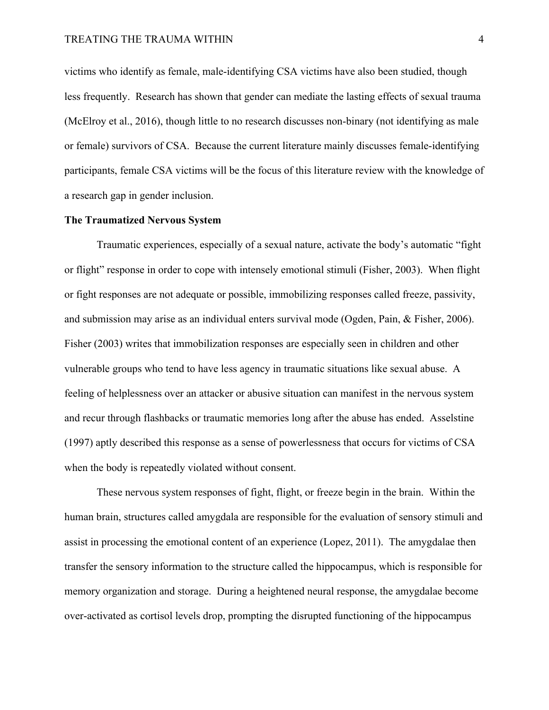victims who identify as female, male-identifying CSA victims have also been studied, though less frequently. Research has shown that gender can mediate the lasting effects of sexual trauma (McElroy et al., 2016), though little to no research discusses non-binary (not identifying as male or female) survivors of CSA. Because the current literature mainly discusses female-identifying participants, female CSA victims will be the focus of this literature review with the knowledge of a research gap in gender inclusion.

#### **The Traumatized Nervous System**

Traumatic experiences, especially of a sexual nature, activate the body's automatic "fight or flight" response in order to cope with intensely emotional stimuli (Fisher, 2003). When flight or fight responses are not adequate or possible, immobilizing responses called freeze, passivity, and submission may arise as an individual enters survival mode (Ogden, Pain, & Fisher, 2006). Fisher (2003) writes that immobilization responses are especially seen in children and other vulnerable groups who tend to have less agency in traumatic situations like sexual abuse. A feeling of helplessness over an attacker or abusive situation can manifest in the nervous system and recur through flashbacks or traumatic memories long after the abuse has ended. Asselstine (1997) aptly described this response as a sense of powerlessness that occurs for victims of CSA when the body is repeatedly violated without consent.

These nervous system responses of fight, flight, or freeze begin in the brain. Within the human brain, structures called amygdala are responsible for the evaluation of sensory stimuli and assist in processing the emotional content of an experience (Lopez, 2011). The amygdalae then transfer the sensory information to the structure called the hippocampus, which is responsible for memory organization and storage. During a heightened neural response, the amygdalae become over-activated as cortisol levels drop, prompting the disrupted functioning of the hippocampus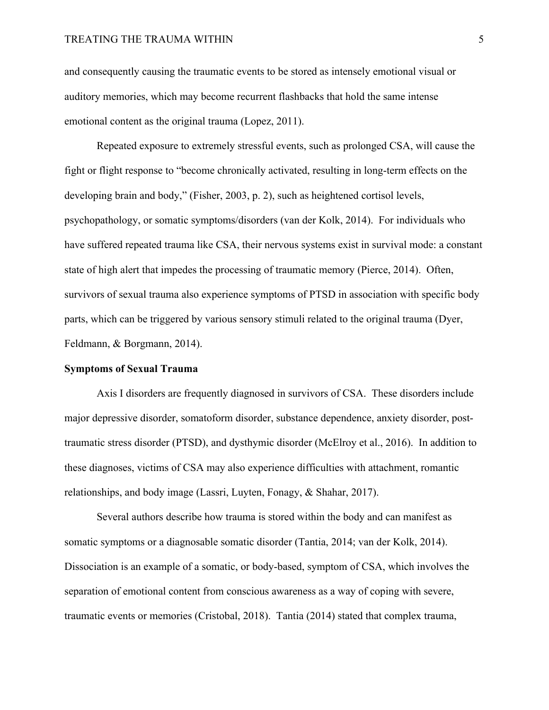#### TREATING THE TRAUMA WITHIN 5

and consequently causing the traumatic events to be stored as intensely emotional visual or auditory memories, which may become recurrent flashbacks that hold the same intense emotional content as the original trauma (Lopez, 2011).

Repeated exposure to extremely stressful events, such as prolonged CSA, will cause the fight or flight response to "become chronically activated, resulting in long-term effects on the developing brain and body," (Fisher, 2003, p. 2), such as heightened cortisol levels, psychopathology, or somatic symptoms/disorders (van der Kolk, 2014). For individuals who have suffered repeated trauma like CSA, their nervous systems exist in survival mode: a constant state of high alert that impedes the processing of traumatic memory (Pierce, 2014). Often, survivors of sexual trauma also experience symptoms of PTSD in association with specific body parts, which can be triggered by various sensory stimuli related to the original trauma (Dyer, Feldmann, & Borgmann, 2014).

#### **Symptoms of Sexual Trauma**

Axis I disorders are frequently diagnosed in survivors of CSA. These disorders include major depressive disorder, somatoform disorder, substance dependence, anxiety disorder, posttraumatic stress disorder (PTSD), and dysthymic disorder (McElroy et al., 2016). In addition to these diagnoses, victims of CSA may also experience difficulties with attachment, romantic relationships, and body image (Lassri, Luyten, Fonagy, & Shahar, 2017).

Several authors describe how trauma is stored within the body and can manifest as somatic symptoms or a diagnosable somatic disorder (Tantia, 2014; van der Kolk, 2014). Dissociation is an example of a somatic, or body-based, symptom of CSA, which involves the separation of emotional content from conscious awareness as a way of coping with severe, traumatic events or memories (Cristobal, 2018). Tantia (2014) stated that complex trauma,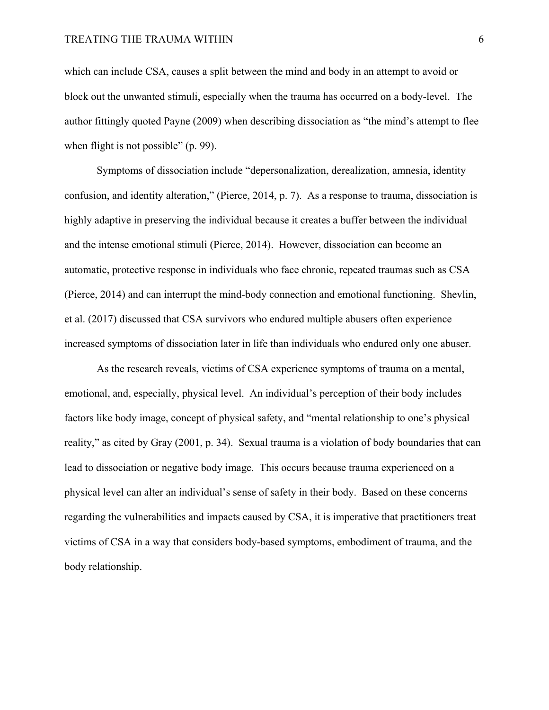which can include CSA, causes a split between the mind and body in an attempt to avoid or block out the unwanted stimuli, especially when the trauma has occurred on a body-level. The author fittingly quoted Payne (2009) when describing dissociation as "the mind's attempt to flee when flight is not possible" (p. 99).

Symptoms of dissociation include "depersonalization, derealization, amnesia, identity confusion, and identity alteration," (Pierce, 2014, p. 7). As a response to trauma, dissociation is highly adaptive in preserving the individual because it creates a buffer between the individual and the intense emotional stimuli (Pierce, 2014). However, dissociation can become an automatic, protective response in individuals who face chronic, repeated traumas such as CSA (Pierce, 2014) and can interrupt the mind-body connection and emotional functioning. Shevlin, et al. (2017) discussed that CSA survivors who endured multiple abusers often experience increased symptoms of dissociation later in life than individuals who endured only one abuser.

As the research reveals, victims of CSA experience symptoms of trauma on a mental, emotional, and, especially, physical level. An individual's perception of their body includes factors like body image, concept of physical safety, and "mental relationship to one's physical reality," as cited by Gray (2001, p. 34). Sexual trauma is a violation of body boundaries that can lead to dissociation or negative body image. This occurs because trauma experienced on a physical level can alter an individual's sense of safety in their body. Based on these concerns regarding the vulnerabilities and impacts caused by CSA, it is imperative that practitioners treat victims of CSA in a way that considers body-based symptoms, embodiment of trauma, and the body relationship.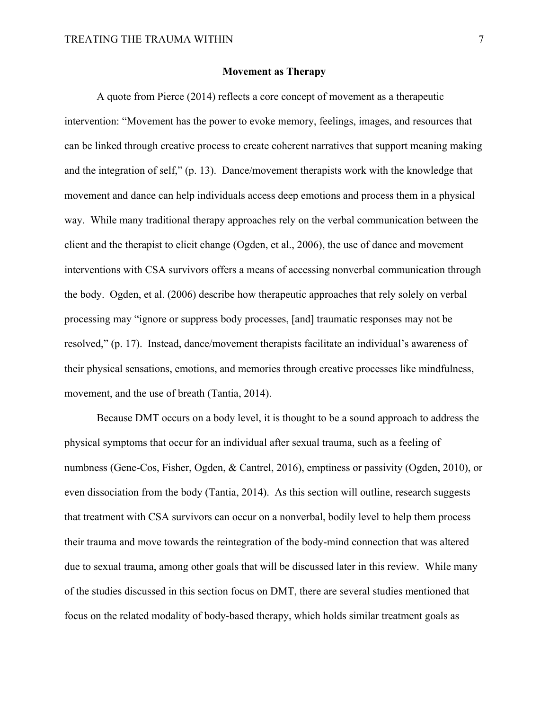#### **Movement as Therapy**

A quote from Pierce (2014) reflects a core concept of movement as a therapeutic intervention: "Movement has the power to evoke memory, feelings, images, and resources that can be linked through creative process to create coherent narratives that support meaning making and the integration of self," (p. 13). Dance/movement therapists work with the knowledge that movement and dance can help individuals access deep emotions and process them in a physical way. While many traditional therapy approaches rely on the verbal communication between the client and the therapist to elicit change (Ogden, et al., 2006), the use of dance and movement interventions with CSA survivors offers a means of accessing nonverbal communication through the body. Ogden, et al. (2006) describe how therapeutic approaches that rely solely on verbal processing may "ignore or suppress body processes, [and] traumatic responses may not be resolved," (p. 17). Instead, dance/movement therapists facilitate an individual's awareness of their physical sensations, emotions, and memories through creative processes like mindfulness, movement, and the use of breath (Tantia, 2014).

Because DMT occurs on a body level, it is thought to be a sound approach to address the physical symptoms that occur for an individual after sexual trauma, such as a feeling of numbness (Gene-Cos, Fisher, Ogden, & Cantrel, 2016), emptiness or passivity (Ogden, 2010), or even dissociation from the body (Tantia, 2014). As this section will outline, research suggests that treatment with CSA survivors can occur on a nonverbal, bodily level to help them process their trauma and move towards the reintegration of the body-mind connection that was altered due to sexual trauma, among other goals that will be discussed later in this review. While many of the studies discussed in this section focus on DMT, there are several studies mentioned that focus on the related modality of body-based therapy, which holds similar treatment goals as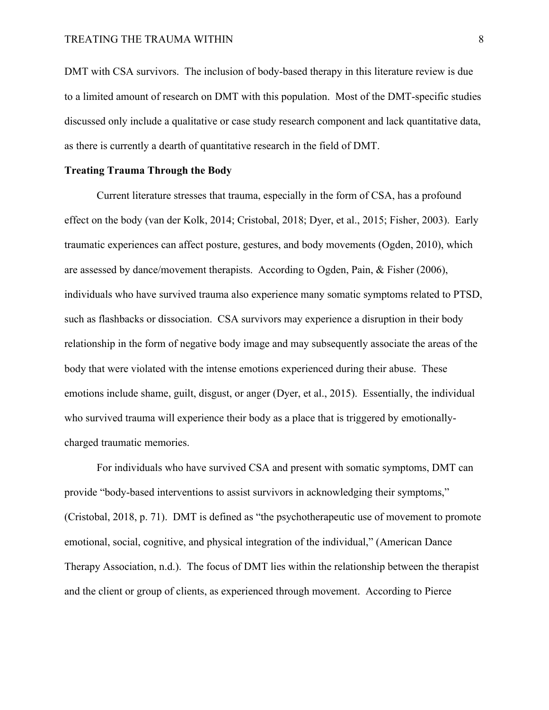DMT with CSA survivors. The inclusion of body-based therapy in this literature review is due to a limited amount of research on DMT with this population. Most of the DMT-specific studies discussed only include a qualitative or case study research component and lack quantitative data, as there is currently a dearth of quantitative research in the field of DMT.

#### **Treating Trauma Through the Body**

Current literature stresses that trauma, especially in the form of CSA, has a profound effect on the body (van der Kolk, 2014; Cristobal, 2018; Dyer, et al., 2015; Fisher, 2003). Early traumatic experiences can affect posture, gestures, and body movements (Ogden, 2010), which are assessed by dance/movement therapists. According to Ogden, Pain, & Fisher (2006), individuals who have survived trauma also experience many somatic symptoms related to PTSD, such as flashbacks or dissociation. CSA survivors may experience a disruption in their body relationship in the form of negative body image and may subsequently associate the areas of the body that were violated with the intense emotions experienced during their abuse. These emotions include shame, guilt, disgust, or anger (Dyer, et al., 2015). Essentially, the individual who survived trauma will experience their body as a place that is triggered by emotionallycharged traumatic memories.

For individuals who have survived CSA and present with somatic symptoms, DMT can provide "body-based interventions to assist survivors in acknowledging their symptoms," (Cristobal, 2018, p. 71). DMT is defined as "the psychotherapeutic use of movement to promote emotional, social, cognitive, and physical integration of the individual," (American Dance Therapy Association, n.d.). The focus of DMT lies within the relationship between the therapist and the client or group of clients, as experienced through movement. According to Pierce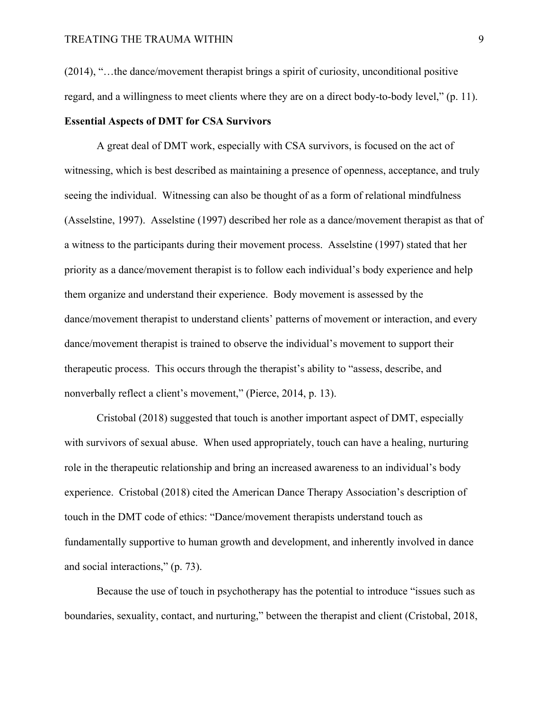(2014), "…the dance/movement therapist brings a spirit of curiosity, unconditional positive regard, and a willingness to meet clients where they are on a direct body-to-body level," (p. 11).

### **Essential Aspects of DMT for CSA Survivors**

A great deal of DMT work, especially with CSA survivors, is focused on the act of witnessing, which is best described as maintaining a presence of openness, acceptance, and truly seeing the individual. Witnessing can also be thought of as a form of relational mindfulness (Asselstine, 1997). Asselstine (1997) described her role as a dance/movement therapist as that of a witness to the participants during their movement process. Asselstine (1997) stated that her priority as a dance/movement therapist is to follow each individual's body experience and help them organize and understand their experience. Body movement is assessed by the dance/movement therapist to understand clients' patterns of movement or interaction, and every dance/movement therapist is trained to observe the individual's movement to support their therapeutic process. This occurs through the therapist's ability to "assess, describe, and nonverbally reflect a client's movement," (Pierce, 2014, p. 13).

Cristobal (2018) suggested that touch is another important aspect of DMT, especially with survivors of sexual abuse. When used appropriately, touch can have a healing, nurturing role in the therapeutic relationship and bring an increased awareness to an individual's body experience. Cristobal (2018) cited the American Dance Therapy Association's description of touch in the DMT code of ethics: "Dance/movement therapists understand touch as fundamentally supportive to human growth and development, and inherently involved in dance and social interactions," (p. 73).

Because the use of touch in psychotherapy has the potential to introduce "issues such as boundaries, sexuality, contact, and nurturing," between the therapist and client (Cristobal, 2018,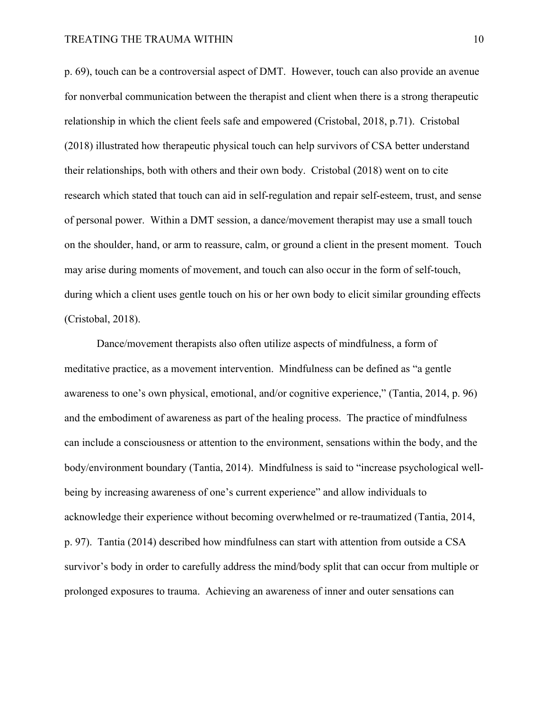p. 69), touch can be a controversial aspect of DMT. However, touch can also provide an avenue for nonverbal communication between the therapist and client when there is a strong therapeutic relationship in which the client feels safe and empowered (Cristobal, 2018, p.71). Cristobal (2018) illustrated how therapeutic physical touch can help survivors of CSA better understand their relationships, both with others and their own body. Cristobal (2018) went on to cite research which stated that touch can aid in self-regulation and repair self-esteem, trust, and sense of personal power. Within a DMT session, a dance/movement therapist may use a small touch on the shoulder, hand, or arm to reassure, calm, or ground a client in the present moment. Touch may arise during moments of movement, and touch can also occur in the form of self-touch, during which a client uses gentle touch on his or her own body to elicit similar grounding effects (Cristobal, 2018).

Dance/movement therapists also often utilize aspects of mindfulness, a form of meditative practice, as a movement intervention. Mindfulness can be defined as "a gentle awareness to one's own physical, emotional, and/or cognitive experience," (Tantia, 2014, p. 96) and the embodiment of awareness as part of the healing process. The practice of mindfulness can include a consciousness or attention to the environment, sensations within the body, and the body/environment boundary (Tantia, 2014). Mindfulness is said to "increase psychological wellbeing by increasing awareness of one's current experience" and allow individuals to acknowledge their experience without becoming overwhelmed or re-traumatized (Tantia, 2014, p. 97). Tantia (2014) described how mindfulness can start with attention from outside a CSA survivor's body in order to carefully address the mind/body split that can occur from multiple or prolonged exposures to trauma. Achieving an awareness of inner and outer sensations can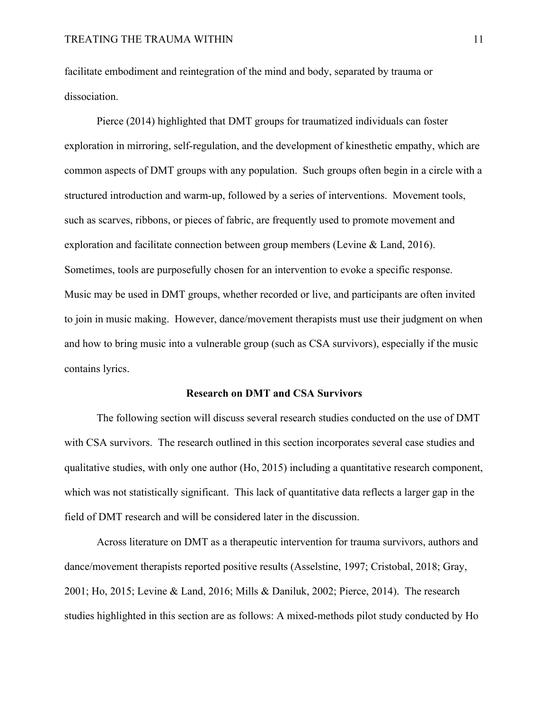facilitate embodiment and reintegration of the mind and body, separated by trauma or dissociation.

Pierce (2014) highlighted that DMT groups for traumatized individuals can foster exploration in mirroring, self-regulation, and the development of kinesthetic empathy, which are common aspects of DMT groups with any population. Such groups often begin in a circle with a structured introduction and warm-up, followed by a series of interventions. Movement tools, such as scarves, ribbons, or pieces of fabric, are frequently used to promote movement and exploration and facilitate connection between group members (Levine & Land, 2016). Sometimes, tools are purposefully chosen for an intervention to evoke a specific response. Music may be used in DMT groups, whether recorded or live, and participants are often invited to join in music making. However, dance/movement therapists must use their judgment on when and how to bring music into a vulnerable group (such as CSA survivors), especially if the music contains lyrics.

#### **Research on DMT and CSA Survivors**

The following section will discuss several research studies conducted on the use of DMT with CSA survivors. The research outlined in this section incorporates several case studies and qualitative studies, with only one author (Ho, 2015) including a quantitative research component, which was not statistically significant. This lack of quantitative data reflects a larger gap in the field of DMT research and will be considered later in the discussion.

Across literature on DMT as a therapeutic intervention for trauma survivors, authors and dance/movement therapists reported positive results (Asselstine, 1997; Cristobal, 2018; Gray, 2001; Ho, 2015; Levine & Land, 2016; Mills & Daniluk, 2002; Pierce, 2014). The research studies highlighted in this section are as follows: A mixed-methods pilot study conducted by Ho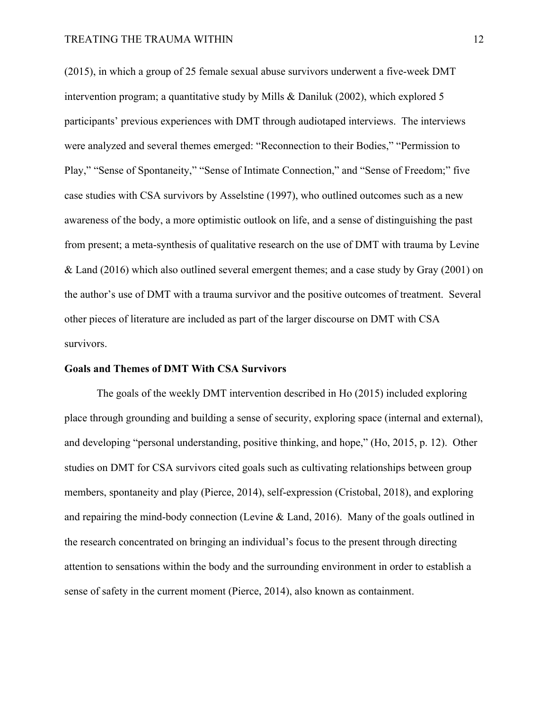(2015), in which a group of 25 female sexual abuse survivors underwent a five-week DMT intervention program; a quantitative study by Mills & Daniluk (2002), which explored 5 participants' previous experiences with DMT through audiotaped interviews. The interviews were analyzed and several themes emerged: "Reconnection to their Bodies," "Permission to Play," "Sense of Spontaneity," "Sense of Intimate Connection," and "Sense of Freedom;" five case studies with CSA survivors by Asselstine (1997), who outlined outcomes such as a new awareness of the body, a more optimistic outlook on life, and a sense of distinguishing the past from present; a meta-synthesis of qualitative research on the use of DMT with trauma by Levine & Land (2016) which also outlined several emergent themes; and a case study by Gray (2001) on the author's use of DMT with a trauma survivor and the positive outcomes of treatment. Several other pieces of literature are included as part of the larger discourse on DMT with CSA survivors.

#### **Goals and Themes of DMT With CSA Survivors**

The goals of the weekly DMT intervention described in Ho (2015) included exploring place through grounding and building a sense of security, exploring space (internal and external), and developing "personal understanding, positive thinking, and hope," (Ho, 2015, p. 12). Other studies on DMT for CSA survivors cited goals such as cultivating relationships between group members, spontaneity and play (Pierce, 2014), self-expression (Cristobal, 2018), and exploring and repairing the mind-body connection (Levine & Land, 2016). Many of the goals outlined in the research concentrated on bringing an individual's focus to the present through directing attention to sensations within the body and the surrounding environment in order to establish a sense of safety in the current moment (Pierce, 2014), also known as containment.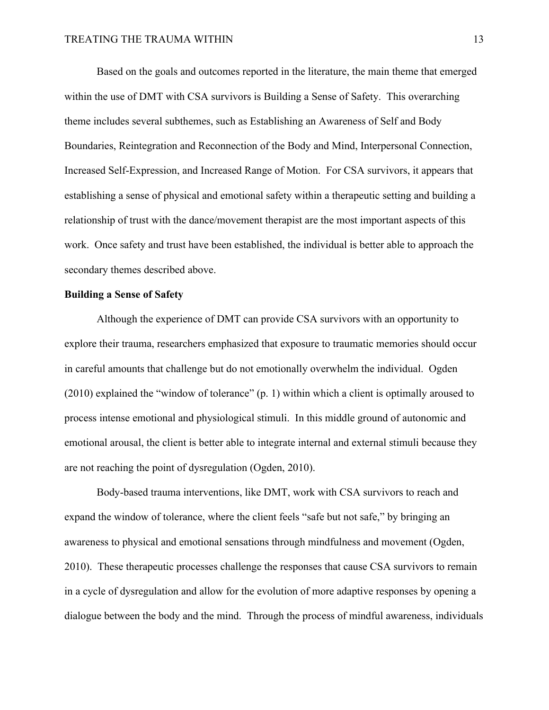Based on the goals and outcomes reported in the literature, the main theme that emerged within the use of DMT with CSA survivors is Building a Sense of Safety. This overarching theme includes several subthemes, such as Establishing an Awareness of Self and Body Boundaries, Reintegration and Reconnection of the Body and Mind, Interpersonal Connection, Increased Self-Expression, and Increased Range of Motion. For CSA survivors, it appears that establishing a sense of physical and emotional safety within a therapeutic setting and building a relationship of trust with the dance/movement therapist are the most important aspects of this work. Once safety and trust have been established, the individual is better able to approach the secondary themes described above.

#### **Building a Sense of Safety**

Although the experience of DMT can provide CSA survivors with an opportunity to explore their trauma, researchers emphasized that exposure to traumatic memories should occur in careful amounts that challenge but do not emotionally overwhelm the individual. Ogden (2010) explained the "window of tolerance" (p. 1) within which a client is optimally aroused to process intense emotional and physiological stimuli. In this middle ground of autonomic and emotional arousal, the client is better able to integrate internal and external stimuli because they are not reaching the point of dysregulation (Ogden, 2010).

Body-based trauma interventions, like DMT, work with CSA survivors to reach and expand the window of tolerance, where the client feels "safe but not safe," by bringing an awareness to physical and emotional sensations through mindfulness and movement (Ogden, 2010). These therapeutic processes challenge the responses that cause CSA survivors to remain in a cycle of dysregulation and allow for the evolution of more adaptive responses by opening a dialogue between the body and the mind. Through the process of mindful awareness, individuals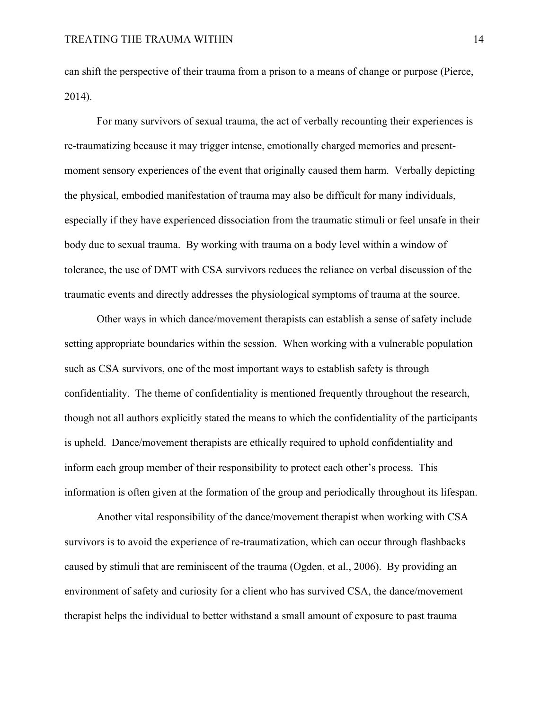can shift the perspective of their trauma from a prison to a means of change or purpose (Pierce, 2014).

For many survivors of sexual trauma, the act of verbally recounting their experiences is re-traumatizing because it may trigger intense, emotionally charged memories and presentmoment sensory experiences of the event that originally caused them harm. Verbally depicting the physical, embodied manifestation of trauma may also be difficult for many individuals, especially if they have experienced dissociation from the traumatic stimuli or feel unsafe in their body due to sexual trauma. By working with trauma on a body level within a window of tolerance, the use of DMT with CSA survivors reduces the reliance on verbal discussion of the traumatic events and directly addresses the physiological symptoms of trauma at the source.

Other ways in which dance/movement therapists can establish a sense of safety include setting appropriate boundaries within the session. When working with a vulnerable population such as CSA survivors, one of the most important ways to establish safety is through confidentiality. The theme of confidentiality is mentioned frequently throughout the research, though not all authors explicitly stated the means to which the confidentiality of the participants is upheld. Dance/movement therapists are ethically required to uphold confidentiality and inform each group member of their responsibility to protect each other's process. This information is often given at the formation of the group and periodically throughout its lifespan.

Another vital responsibility of the dance/movement therapist when working with CSA survivors is to avoid the experience of re-traumatization, which can occur through flashbacks caused by stimuli that are reminiscent of the trauma (Ogden, et al., 2006). By providing an environment of safety and curiosity for a client who has survived CSA, the dance/movement therapist helps the individual to better withstand a small amount of exposure to past trauma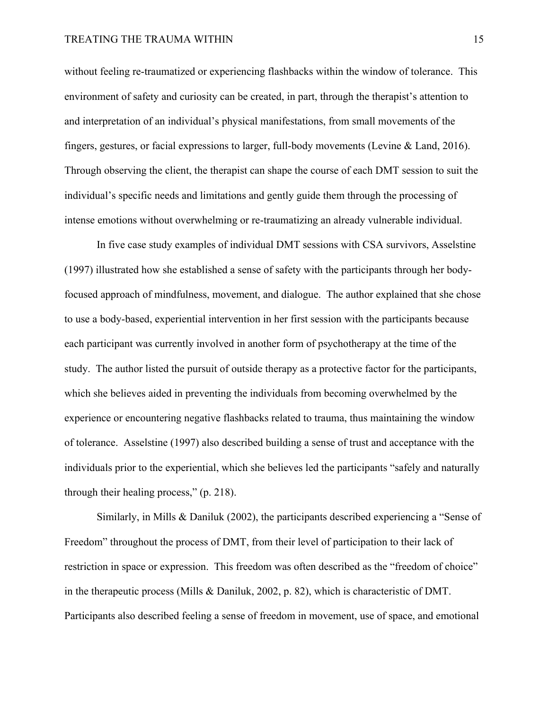without feeling re-traumatized or experiencing flashbacks within the window of tolerance. This environment of safety and curiosity can be created, in part, through the therapist's attention to and interpretation of an individual's physical manifestations, from small movements of the fingers, gestures, or facial expressions to larger, full-body movements (Levine & Land, 2016). Through observing the client, the therapist can shape the course of each DMT session to suit the individual's specific needs and limitations and gently guide them through the processing of intense emotions without overwhelming or re-traumatizing an already vulnerable individual.

In five case study examples of individual DMT sessions with CSA survivors, Asselstine (1997) illustrated how she established a sense of safety with the participants through her bodyfocused approach of mindfulness, movement, and dialogue. The author explained that she chose to use a body-based, experiential intervention in her first session with the participants because each participant was currently involved in another form of psychotherapy at the time of the study. The author listed the pursuit of outside therapy as a protective factor for the participants, which she believes aided in preventing the individuals from becoming overwhelmed by the experience or encountering negative flashbacks related to trauma, thus maintaining the window of tolerance. Asselstine (1997) also described building a sense of trust and acceptance with the individuals prior to the experiential, which she believes led the participants "safely and naturally through their healing process," (p. 218).

Similarly, in Mills & Daniluk (2002), the participants described experiencing a "Sense of Freedom" throughout the process of DMT, from their level of participation to their lack of restriction in space or expression. This freedom was often described as the "freedom of choice" in the therapeutic process (Mills & Daniluk, 2002, p. 82), which is characteristic of DMT. Participants also described feeling a sense of freedom in movement, use of space, and emotional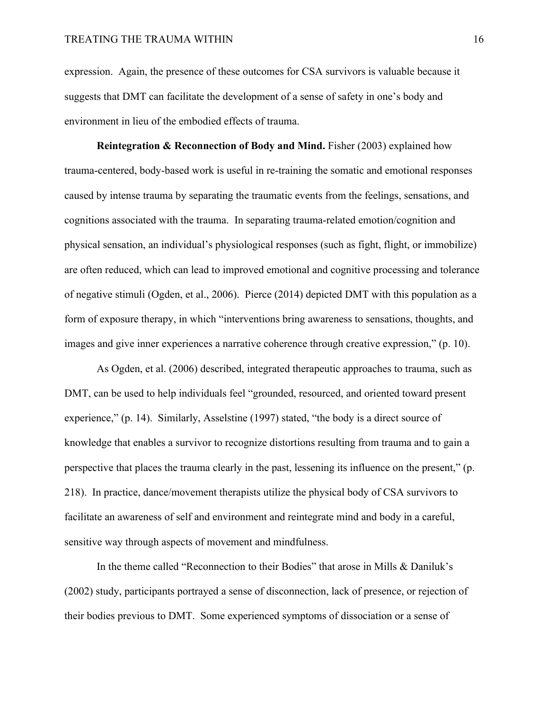expression. Again, the presence of these outcomes for CSA survivors is valuable because it suggests that DMT can facilitate the development of a sense of safety in one's body and environment in lieu of the embodied effects of trauma.

**Reintegration & Reconnection of Body and Mind.** Fisher (2003) explained how trauma-centered, body-based work is useful in re-training the somatic and emotional responses caused by intense trauma by separating the traumatic events from the feelings, sensations, and cognitions associated with the trauma. In separating trauma-related emotion/cognition and physical sensation, an individual's physiological responses (such as fight, flight, or immobilize) are often reduced, which can lead to improved emotional and cognitive processing and tolerance of negative stimuli (Ogden, et al., 2006). Pierce (2014) depicted DMT with this population as a form of exposure therapy, in which "interventions bring awareness to sensations, thoughts, and images and give inner experiences a narrative coherence through creative expression," (p. 10).

As Ogden, et al. (2006) described, integrated therapeutic approaches to trauma, such as DMT, can be used to help individuals feel "grounded, resourced, and oriented toward present experience," (p. 14). Similarly, Asselstine (1997) stated, "the body is a direct source of knowledge that enables a survivor to recognize distortions resulting from trauma and to gain a perspective that places the trauma clearly in the past, lessening its influence on the present," (p. 218). In practice, dance/movement therapists utilize the physical body of CSA survivors to facilitate an awareness of self and environment and reintegrate mind and body in a careful, sensitive way through aspects of movement and mindfulness.

In the theme called "Reconnection to their Bodies" that arose in Mills & Daniluk's (2002) study, participants portrayed a sense of disconnection, lack of presence, or rejection of their bodies previous to DMT. Some experienced symptoms of dissociation or a sense of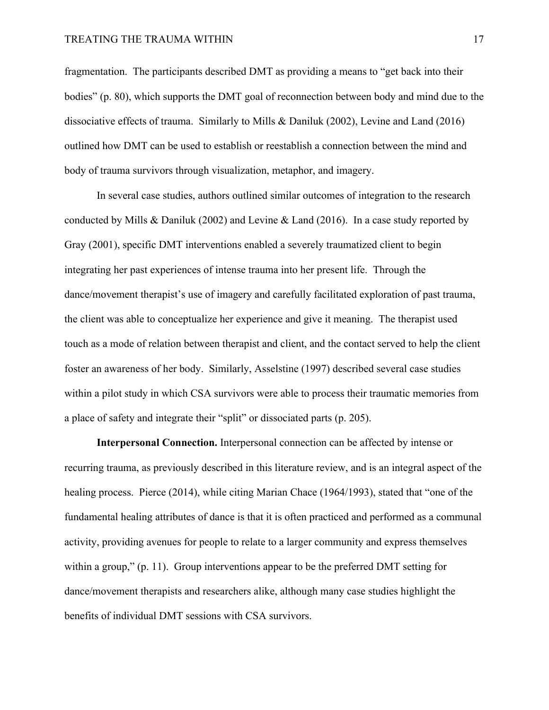#### TREATING THE TRAUMA WITHIN 17

fragmentation. The participants described DMT as providing a means to "get back into their bodies" (p. 80), which supports the DMT goal of reconnection between body and mind due to the dissociative effects of trauma. Similarly to Mills & Daniluk (2002), Levine and Land (2016) outlined how DMT can be used to establish or reestablish a connection between the mind and body of trauma survivors through visualization, metaphor, and imagery.

In several case studies, authors outlined similar outcomes of integration to the research conducted by Mills & Daniluk (2002) and Levine & Land (2016). In a case study reported by Gray (2001), specific DMT interventions enabled a severely traumatized client to begin integrating her past experiences of intense trauma into her present life. Through the dance/movement therapist's use of imagery and carefully facilitated exploration of past trauma, the client was able to conceptualize her experience and give it meaning. The therapist used touch as a mode of relation between therapist and client, and the contact served to help the client foster an awareness of her body. Similarly, Asselstine (1997) described several case studies within a pilot study in which CSA survivors were able to process their traumatic memories from a place of safety and integrate their "split" or dissociated parts (p. 205).

**Interpersonal Connection.** Interpersonal connection can be affected by intense or recurring trauma, as previously described in this literature review, and is an integral aspect of the healing process. Pierce (2014), while citing Marian Chace (1964/1993), stated that "one of the fundamental healing attributes of dance is that it is often practiced and performed as a communal activity, providing avenues for people to relate to a larger community and express themselves within a group," (p. 11). Group interventions appear to be the preferred DMT setting for dance/movement therapists and researchers alike, although many case studies highlight the benefits of individual DMT sessions with CSA survivors.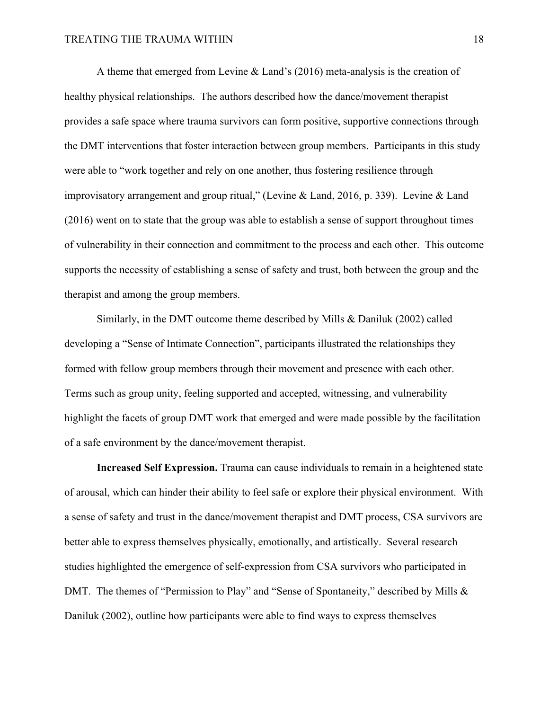A theme that emerged from Levine & Land's (2016) meta-analysis is the creation of healthy physical relationships. The authors described how the dance/movement therapist provides a safe space where trauma survivors can form positive, supportive connections through the DMT interventions that foster interaction between group members. Participants in this study were able to "work together and rely on one another, thus fostering resilience through improvisatory arrangement and group ritual," (Levine & Land, 2016, p. 339). Levine & Land (2016) went on to state that the group was able to establish a sense of support throughout times of vulnerability in their connection and commitment to the process and each other. This outcome supports the necessity of establishing a sense of safety and trust, both between the group and the therapist and among the group members.

Similarly, in the DMT outcome theme described by Mills & Daniluk (2002) called developing a "Sense of Intimate Connection", participants illustrated the relationships they formed with fellow group members through their movement and presence with each other. Terms such as group unity, feeling supported and accepted, witnessing, and vulnerability highlight the facets of group DMT work that emerged and were made possible by the facilitation of a safe environment by the dance/movement therapist.

**Increased Self Expression.** Trauma can cause individuals to remain in a heightened state of arousal, which can hinder their ability to feel safe or explore their physical environment. With a sense of safety and trust in the dance/movement therapist and DMT process, CSA survivors are better able to express themselves physically, emotionally, and artistically. Several research studies highlighted the emergence of self-expression from CSA survivors who participated in DMT. The themes of "Permission to Play" and "Sense of Spontaneity," described by Mills & Daniluk (2002), outline how participants were able to find ways to express themselves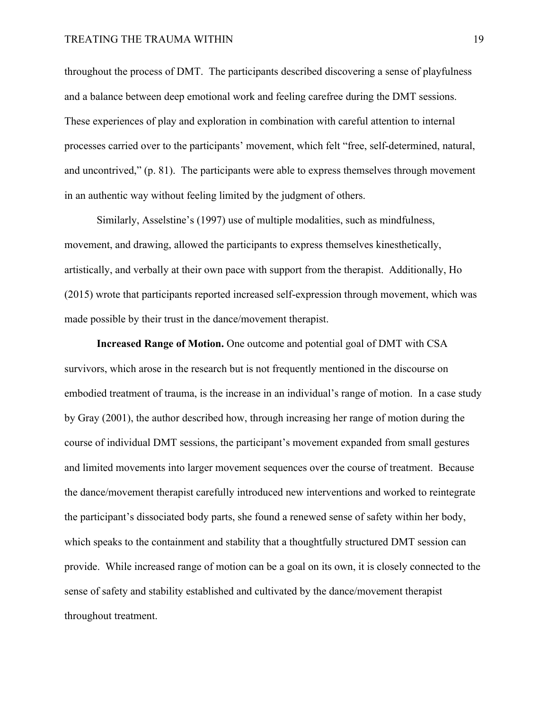throughout the process of DMT. The participants described discovering a sense of playfulness and a balance between deep emotional work and feeling carefree during the DMT sessions. These experiences of play and exploration in combination with careful attention to internal processes carried over to the participants' movement, which felt "free, self-determined, natural, and uncontrived," (p. 81). The participants were able to express themselves through movement in an authentic way without feeling limited by the judgment of others.

Similarly, Asselstine's (1997) use of multiple modalities, such as mindfulness, movement, and drawing, allowed the participants to express themselves kinesthetically, artistically, and verbally at their own pace with support from the therapist. Additionally, Ho (2015) wrote that participants reported increased self-expression through movement, which was made possible by their trust in the dance/movement therapist.

**Increased Range of Motion.** One outcome and potential goal of DMT with CSA survivors, which arose in the research but is not frequently mentioned in the discourse on embodied treatment of trauma, is the increase in an individual's range of motion. In a case study by Gray (2001), the author described how, through increasing her range of motion during the course of individual DMT sessions, the participant's movement expanded from small gestures and limited movements into larger movement sequences over the course of treatment. Because the dance/movement therapist carefully introduced new interventions and worked to reintegrate the participant's dissociated body parts, she found a renewed sense of safety within her body, which speaks to the containment and stability that a thoughtfully structured DMT session can provide. While increased range of motion can be a goal on its own, it is closely connected to the sense of safety and stability established and cultivated by the dance/movement therapist throughout treatment.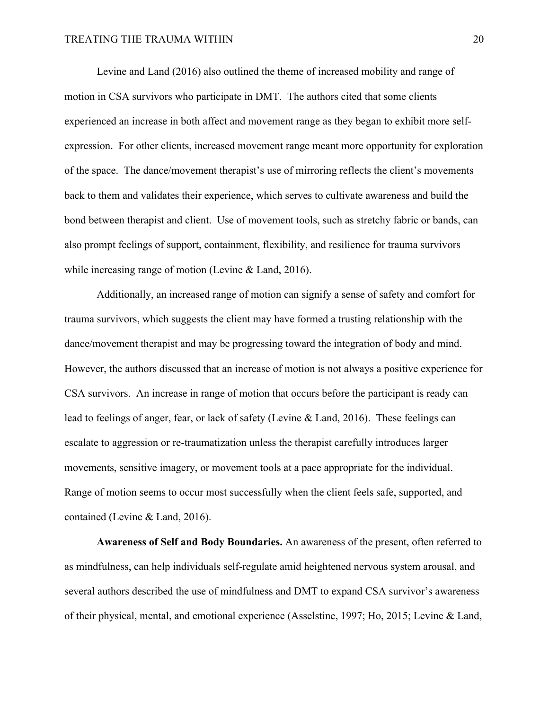Levine and Land (2016) also outlined the theme of increased mobility and range of motion in CSA survivors who participate in DMT. The authors cited that some clients experienced an increase in both affect and movement range as they began to exhibit more selfexpression. For other clients, increased movement range meant more opportunity for exploration of the space. The dance/movement therapist's use of mirroring reflects the client's movements back to them and validates their experience, which serves to cultivate awareness and build the bond between therapist and client. Use of movement tools, such as stretchy fabric or bands, can also prompt feelings of support, containment, flexibility, and resilience for trauma survivors while increasing range of motion (Levine & Land, 2016).

Additionally, an increased range of motion can signify a sense of safety and comfort for trauma survivors, which suggests the client may have formed a trusting relationship with the dance/movement therapist and may be progressing toward the integration of body and mind. However, the authors discussed that an increase of motion is not always a positive experience for CSA survivors. An increase in range of motion that occurs before the participant is ready can lead to feelings of anger, fear, or lack of safety (Levine & Land, 2016). These feelings can escalate to aggression or re-traumatization unless the therapist carefully introduces larger movements, sensitive imagery, or movement tools at a pace appropriate for the individual. Range of motion seems to occur most successfully when the client feels safe, supported, and contained (Levine & Land, 2016).

**Awareness of Self and Body Boundaries.** An awareness of the present, often referred to as mindfulness, can help individuals self-regulate amid heightened nervous system arousal, and several authors described the use of mindfulness and DMT to expand CSA survivor's awareness of their physical, mental, and emotional experience (Asselstine, 1997; Ho, 2015; Levine & Land,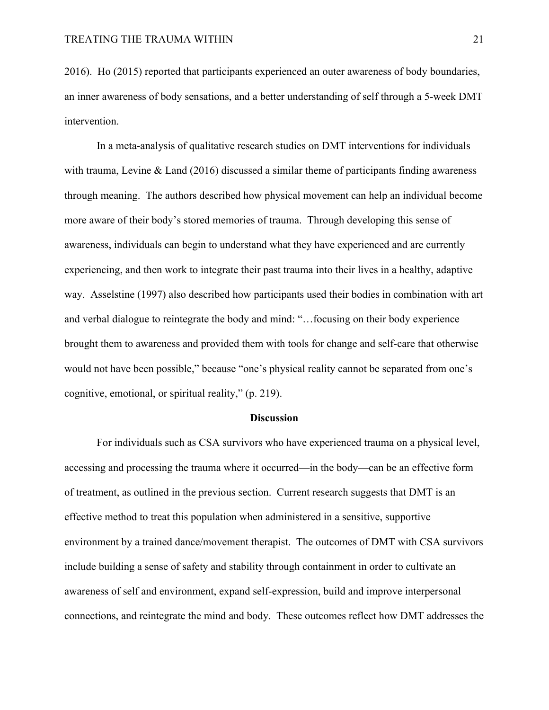2016). Ho (2015) reported that participants experienced an outer awareness of body boundaries, an inner awareness of body sensations, and a better understanding of self through a 5-week DMT intervention.

In a meta-analysis of qualitative research studies on DMT interventions for individuals with trauma, Levine & Land  $(2016)$  discussed a similar theme of participants finding awareness through meaning. The authors described how physical movement can help an individual become more aware of their body's stored memories of trauma. Through developing this sense of awareness, individuals can begin to understand what they have experienced and are currently experiencing, and then work to integrate their past trauma into their lives in a healthy, adaptive way. Asselstine (1997) also described how participants used their bodies in combination with art and verbal dialogue to reintegrate the body and mind: "…focusing on their body experience brought them to awareness and provided them with tools for change and self-care that otherwise would not have been possible," because "one's physical reality cannot be separated from one's cognitive, emotional, or spiritual reality," (p. 219).

#### **Discussion**

For individuals such as CSA survivors who have experienced trauma on a physical level, accessing and processing the trauma where it occurred—in the body—can be an effective form of treatment, as outlined in the previous section. Current research suggests that DMT is an effective method to treat this population when administered in a sensitive, supportive environment by a trained dance/movement therapist. The outcomes of DMT with CSA survivors include building a sense of safety and stability through containment in order to cultivate an awareness of self and environment, expand self-expression, build and improve interpersonal connections, and reintegrate the mind and body. These outcomes reflect how DMT addresses the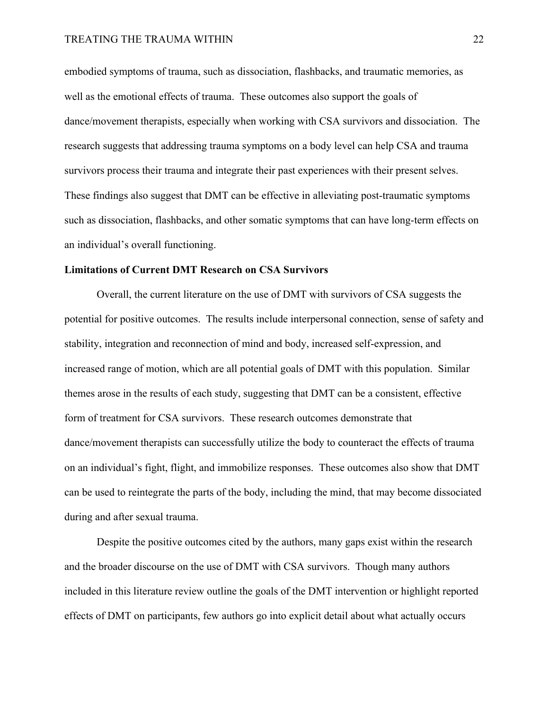embodied symptoms of trauma, such as dissociation, flashbacks, and traumatic memories, as well as the emotional effects of trauma. These outcomes also support the goals of dance/movement therapists, especially when working with CSA survivors and dissociation. The research suggests that addressing trauma symptoms on a body level can help CSA and trauma survivors process their trauma and integrate their past experiences with their present selves. These findings also suggest that DMT can be effective in alleviating post-traumatic symptoms such as dissociation, flashbacks, and other somatic symptoms that can have long-term effects on an individual's overall functioning.

#### **Limitations of Current DMT Research on CSA Survivors**

Overall, the current literature on the use of DMT with survivors of CSA suggests the potential for positive outcomes. The results include interpersonal connection, sense of safety and stability, integration and reconnection of mind and body, increased self-expression, and increased range of motion, which are all potential goals of DMT with this population. Similar themes arose in the results of each study, suggesting that DMT can be a consistent, effective form of treatment for CSA survivors. These research outcomes demonstrate that dance/movement therapists can successfully utilize the body to counteract the effects of trauma on an individual's fight, flight, and immobilize responses. These outcomes also show that DMT can be used to reintegrate the parts of the body, including the mind, that may become dissociated during and after sexual trauma.

Despite the positive outcomes cited by the authors, many gaps exist within the research and the broader discourse on the use of DMT with CSA survivors. Though many authors included in this literature review outline the goals of the DMT intervention or highlight reported effects of DMT on participants, few authors go into explicit detail about what actually occurs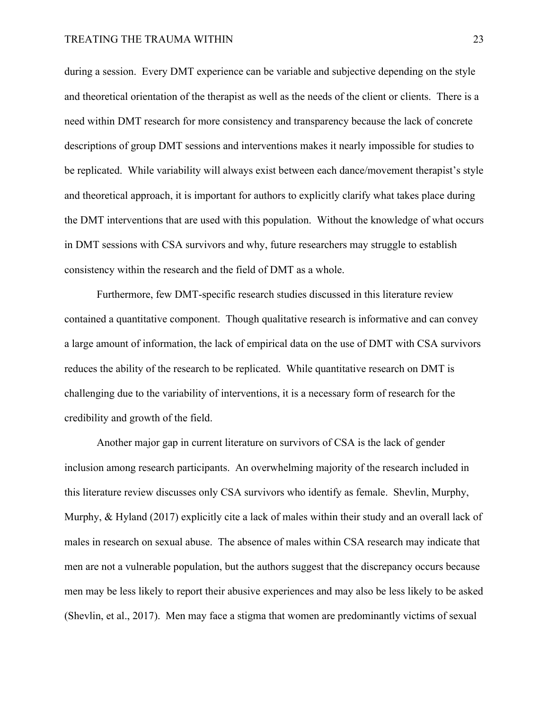#### TREATING THE TRAUMA WITHIN 23

during a session. Every DMT experience can be variable and subjective depending on the style and theoretical orientation of the therapist as well as the needs of the client or clients. There is a need within DMT research for more consistency and transparency because the lack of concrete descriptions of group DMT sessions and interventions makes it nearly impossible for studies to be replicated. While variability will always exist between each dance/movement therapist's style and theoretical approach, it is important for authors to explicitly clarify what takes place during the DMT interventions that are used with this population. Without the knowledge of what occurs in DMT sessions with CSA survivors and why, future researchers may struggle to establish consistency within the research and the field of DMT as a whole.

Furthermore, few DMT-specific research studies discussed in this literature review contained a quantitative component. Though qualitative research is informative and can convey a large amount of information, the lack of empirical data on the use of DMT with CSA survivors reduces the ability of the research to be replicated. While quantitative research on DMT is challenging due to the variability of interventions, it is a necessary form of research for the credibility and growth of the field.

Another major gap in current literature on survivors of CSA is the lack of gender inclusion among research participants. An overwhelming majority of the research included in this literature review discusses only CSA survivors who identify as female. Shevlin, Murphy, Murphy, & Hyland (2017) explicitly cite a lack of males within their study and an overall lack of males in research on sexual abuse. The absence of males within CSA research may indicate that men are not a vulnerable population, but the authors suggest that the discrepancy occurs because men may be less likely to report their abusive experiences and may also be less likely to be asked (Shevlin, et al., 2017). Men may face a stigma that women are predominantly victims of sexual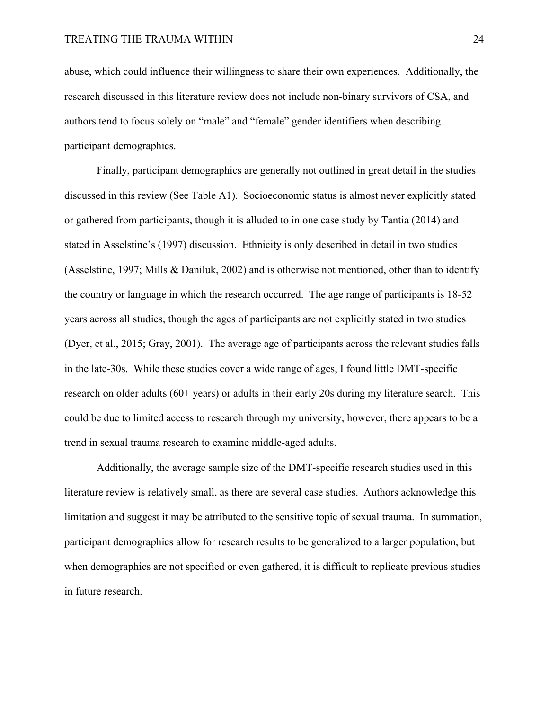abuse, which could influence their willingness to share their own experiences. Additionally, the research discussed in this literature review does not include non-binary survivors of CSA, and authors tend to focus solely on "male" and "female" gender identifiers when describing participant demographics.

Finally, participant demographics are generally not outlined in great detail in the studies discussed in this review (See Table A1). Socioeconomic status is almost never explicitly stated or gathered from participants, though it is alluded to in one case study by Tantia (2014) and stated in Asselstine's (1997) discussion. Ethnicity is only described in detail in two studies (Asselstine, 1997; Mills & Daniluk, 2002) and is otherwise not mentioned, other than to identify the country or language in which the research occurred. The age range of participants is 18-52 years across all studies, though the ages of participants are not explicitly stated in two studies (Dyer, et al., 2015; Gray, 2001). The average age of participants across the relevant studies falls in the late-30s. While these studies cover a wide range of ages, I found little DMT-specific research on older adults (60+ years) or adults in their early 20s during my literature search. This could be due to limited access to research through my university, however, there appears to be a trend in sexual trauma research to examine middle-aged adults.

Additionally, the average sample size of the DMT-specific research studies used in this literature review is relatively small, as there are several case studies. Authors acknowledge this limitation and suggest it may be attributed to the sensitive topic of sexual trauma. In summation, participant demographics allow for research results to be generalized to a larger population, but when demographics are not specified or even gathered, it is difficult to replicate previous studies in future research.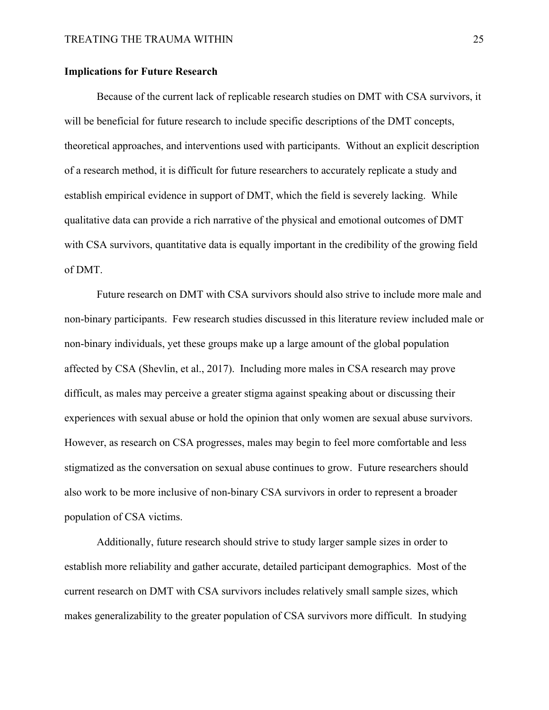#### **Implications for Future Research**

Because of the current lack of replicable research studies on DMT with CSA survivors, it will be beneficial for future research to include specific descriptions of the DMT concepts, theoretical approaches, and interventions used with participants. Without an explicit description of a research method, it is difficult for future researchers to accurately replicate a study and establish empirical evidence in support of DMT, which the field is severely lacking. While qualitative data can provide a rich narrative of the physical and emotional outcomes of DMT with CSA survivors, quantitative data is equally important in the credibility of the growing field of DMT.

Future research on DMT with CSA survivors should also strive to include more male and non-binary participants. Few research studies discussed in this literature review included male or non-binary individuals, yet these groups make up a large amount of the global population affected by CSA (Shevlin, et al., 2017). Including more males in CSA research may prove difficult, as males may perceive a greater stigma against speaking about or discussing their experiences with sexual abuse or hold the opinion that only women are sexual abuse survivors. However, as research on CSA progresses, males may begin to feel more comfortable and less stigmatized as the conversation on sexual abuse continues to grow. Future researchers should also work to be more inclusive of non-binary CSA survivors in order to represent a broader population of CSA victims.

Additionally, future research should strive to study larger sample sizes in order to establish more reliability and gather accurate, detailed participant demographics. Most of the current research on DMT with CSA survivors includes relatively small sample sizes, which makes generalizability to the greater population of CSA survivors more difficult. In studying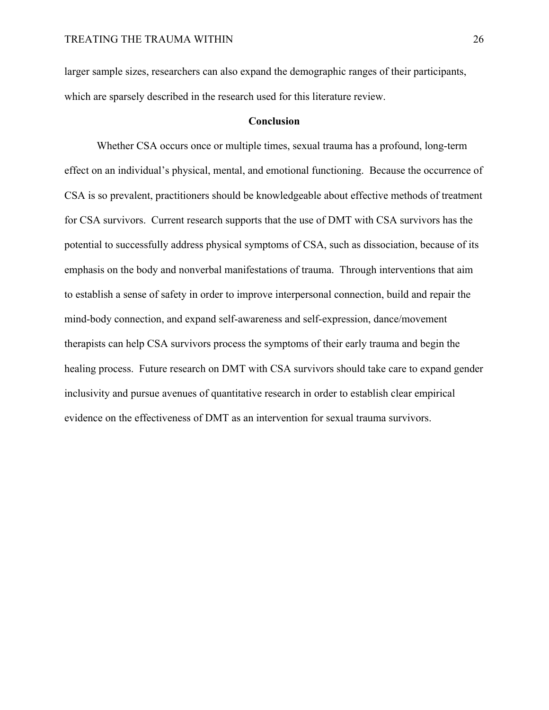larger sample sizes, researchers can also expand the demographic ranges of their participants, which are sparsely described in the research used for this literature review.

#### **Conclusion**

Whether CSA occurs once or multiple times, sexual trauma has a profound, long-term effect on an individual's physical, mental, and emotional functioning. Because the occurrence of CSA is so prevalent, practitioners should be knowledgeable about effective methods of treatment for CSA survivors. Current research supports that the use of DMT with CSA survivors has the potential to successfully address physical symptoms of CSA, such as dissociation, because of its emphasis on the body and nonverbal manifestations of trauma. Through interventions that aim to establish a sense of safety in order to improve interpersonal connection, build and repair the mind-body connection, and expand self-awareness and self-expression, dance/movement therapists can help CSA survivors process the symptoms of their early trauma and begin the healing process. Future research on DMT with CSA survivors should take care to expand gender inclusivity and pursue avenues of quantitative research in order to establish clear empirical evidence on the effectiveness of DMT as an intervention for sexual trauma survivors.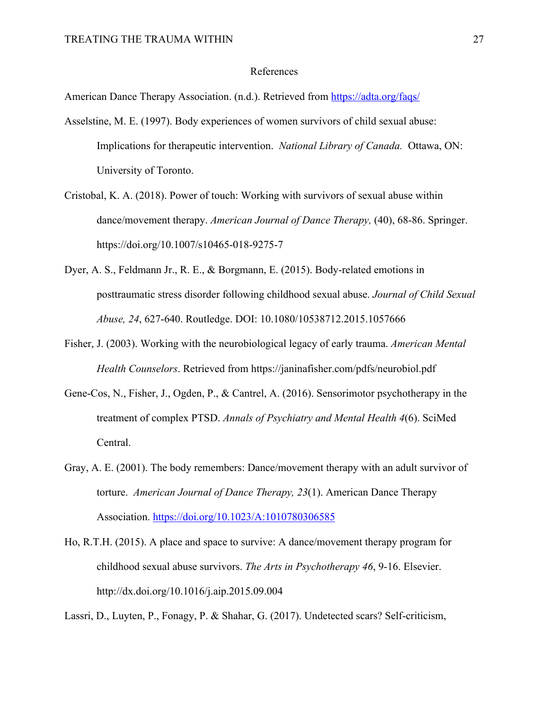#### References

American Dance Therapy Association. (n.d.). Retrieved from https://adta.org/faqs/

- Asselstine, M. E. (1997). Body experiences of women survivors of child sexual abuse: Implications for therapeutic intervention. *National Library of Canada.* Ottawa, ON: University of Toronto.
- Cristobal, K. A. (2018). Power of touch: Working with survivors of sexual abuse within dance/movement therapy. *American Journal of Dance Therapy,* (40), 68-86. Springer. https://doi.org/10.1007/s10465-018-9275-7
- Dyer, A. S., Feldmann Jr., R. E., & Borgmann, E. (2015). Body-related emotions in posttraumatic stress disorder following childhood sexual abuse. *Journal of Child Sexual Abuse, 24*, 627-640. Routledge. DOI: 10.1080/10538712.2015.1057666
- Fisher, J. (2003). Working with the neurobiological legacy of early trauma. *American Mental Health Counselors*. Retrieved from https://janinafisher.com/pdfs/neurobiol.pdf
- Gene-Cos, N., Fisher, J., Ogden, P., & Cantrel, A. (2016). Sensorimotor psychotherapy in the treatment of complex PTSD. *Annals of Psychiatry and Mental Health 4*(6). SciMed Central.
- Gray, A. E. (2001). The body remembers: Dance/movement therapy with an adult survivor of torture. *American Journal of Dance Therapy, 23*(1). American Dance Therapy Association. https://doi.org/10.1023/A:1010780306585
- Ho, R.T.H. (2015). A place and space to survive: A dance/movement therapy program for childhood sexual abuse survivors. *The Arts in Psychotherapy 46*, 9-16. Elsevier. http://dx.doi.org/10.1016/j.aip.2015.09.004

Lassri, D., Luyten, P., Fonagy, P. & Shahar, G. (2017). Undetected scars? Self-criticism,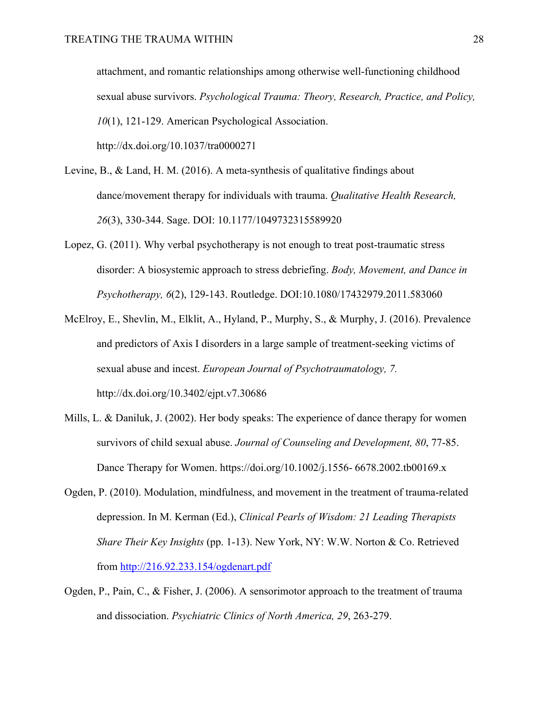attachment, and romantic relationships among otherwise well-functioning childhood sexual abuse survivors. *Psychological Trauma: Theory, Research, Practice, and Policy, 10*(1), 121-129. American Psychological Association.

http://dx.doi.org/10.1037/tra0000271

- Levine, B., & Land, H. M. (2016). A meta-synthesis of qualitative findings about dance/movement therapy for individuals with trauma. *Qualitative Health Research, 26*(3), 330-344. Sage. DOI: 10.1177/1049732315589920
- Lopez, G. (2011). Why verbal psychotherapy is not enough to treat post-traumatic stress disorder: A biosystemic approach to stress debriefing. *Body, Movement, and Dance in Psychotherapy, 6*(2), 129-143. Routledge. DOI:10.1080/17432979.2011.583060
- McElroy, E., Shevlin, M., Elklit, A., Hyland, P., Murphy, S., & Murphy, J. (2016). Prevalence and predictors of Axis I disorders in a large sample of treatment-seeking victims of sexual abuse and incest. *European Journal of Psychotraumatology, 7.* http://dx.doi.org/10.3402/ejpt.v7.30686
- Mills, L. & Daniluk, J. (2002). Her body speaks: The experience of dance therapy for women survivors of child sexual abuse. *Journal of Counseling and Development, 80*, 77-85. Dance Therapy for Women. https://doi.org/10.1002/j.1556- 6678.2002.tb00169.x
- Ogden, P. (2010). Modulation, mindfulness, and movement in the treatment of trauma-related depression. In M. Kerman (Ed.), *Clinical Pearls of Wisdom: 21 Leading Therapists Share Their Key Insights* (pp. 1-13). New York, NY: W.W. Norton & Co. Retrieved from http://216.92.233.154/ogdenart.pdf
- Ogden, P., Pain, C., & Fisher, J. (2006). A sensorimotor approach to the treatment of trauma and dissociation. *Psychiatric Clinics of North America, 29*, 263-279.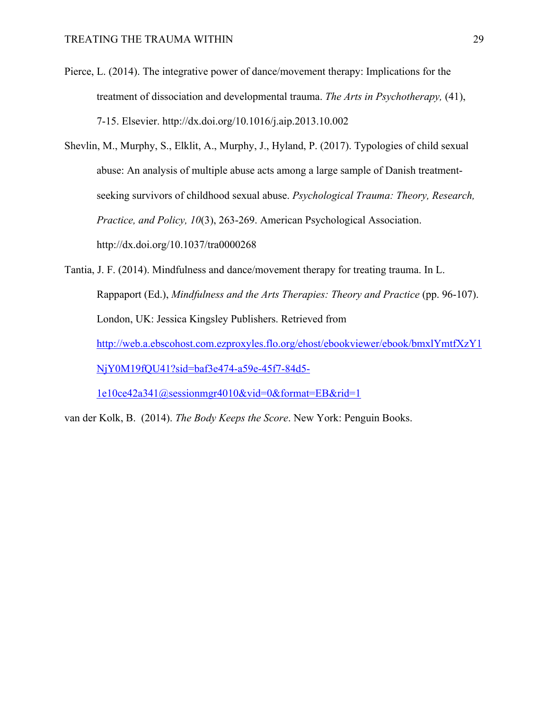- Pierce, L. (2014). The integrative power of dance/movement therapy: Implications for the treatment of dissociation and developmental trauma. *The Arts in Psychotherapy,* (41), 7-15. Elsevier. http://dx.doi.org/10.1016/j.aip.2013.10.002
- Shevlin, M., Murphy, S., Elklit, A., Murphy, J., Hyland, P. (2017). Typologies of child sexual abuse: An analysis of multiple abuse acts among a large sample of Danish treatmentseeking survivors of childhood sexual abuse. *Psychological Trauma: Theory, Research, Practice, and Policy, 10*(3), 263-269. American Psychological Association. http://dx.doi.org/10.1037/tra0000268

Tantia, J. F. (2014). Mindfulness and dance/movement therapy for treating trauma. In L. Rappaport (Ed.), *Mindfulness and the Arts Therapies: Theory and Practice* (pp. 96-107). London, UK: Jessica Kingsley Publishers. Retrieved from http://web.a.ebscohost.com.ezproxyles.flo.org/ehost/ebookviewer/ebook/bmxlYmtfXzY1 NjY0M19fQU41?sid=baf3e474-a59e-45f7-84d5-

1e10ce42a341@sessionmgr4010&vid=0&format=EB&rid=1

van der Kolk, B. (2014). *The Body Keeps the Score*. New York: Penguin Books.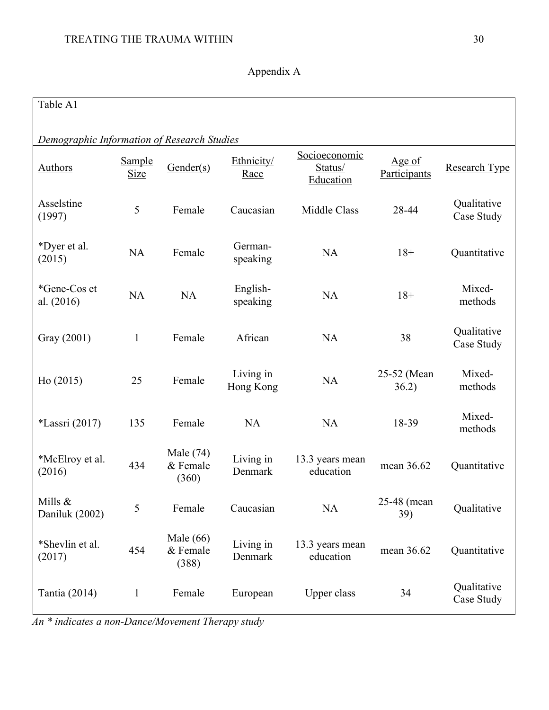Appendix A

| Table A1                                    |                       |                                  |                        |                                       |                        |                           |
|---------------------------------------------|-----------------------|----------------------------------|------------------------|---------------------------------------|------------------------|---------------------------|
|                                             |                       |                                  |                        |                                       |                        |                           |
| Demographic Information of Research Studies |                       |                                  |                        |                                       |                        |                           |
| <b>Authors</b>                              | <b>Sample</b><br>Size | Gender(s)                        | Ethnicity/<br>Race     | Socioeconomic<br>Status/<br>Education | Age of<br>Participants | Research Type             |
| Asselstine<br>(1997)                        | 5                     | Female                           | Caucasian              | Middle Class                          | 28-44                  | Qualitative<br>Case Study |
| *Dyer et al.<br>(2015)                      | NA                    | Female                           | German-<br>speaking    | NA                                    | $18+$                  | Quantitative              |
| *Gene-Cos et<br>al. $(2016)$                | <b>NA</b>             | <b>NA</b>                        | English-<br>speaking   | <b>NA</b>                             | $18+$                  | Mixed-<br>methods         |
| Gray (2001)                                 | $\mathbf{1}$          | Female                           | African                | <b>NA</b>                             | 38                     | Qualitative<br>Case Study |
| Ho(2015)                                    | 25                    | Female                           | Living in<br>Hong Kong | <b>NA</b>                             | 25-52 (Mean<br>36.2)   | Mixed-<br>methods         |
| *Lassri (2017)                              | 135                   | Female                           | <b>NA</b>              | <b>NA</b>                             | 18-39                  | Mixed-<br>methods         |
| *McElroy et al.<br>(2016)                   | 434                   | Male $(74)$<br>& Female<br>(360) | Living in<br>Denmark   | 13.3 years mean<br>education          | mean 36.62             | Quantitative              |
| Mills &<br>Daniluk (2002)                   | 5                     | Female                           | Caucasian              | NA                                    | 25-48 (mean<br>39)     | Qualitative               |
| *Shevlin et al.<br>(2017)                   | 454                   | Male $(66)$<br>& Female<br>(388) | Living in<br>Denmark   | 13.3 years mean<br>education          | mean 36.62             | Quantitative              |
| Tantia (2014)                               | $\mathbf{1}$          | Female                           | European               | Upper class                           | 34                     | Qualitative<br>Case Study |

*An \* indicates a non-Dance/Movement Therapy study*